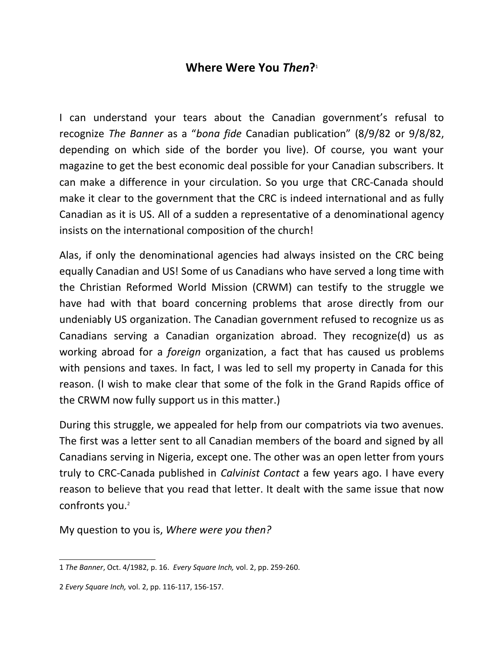## **Where Were You** *Then***[?](#page-0-0)** 1

I can understand your tears about the Canadian government's refusal to recognize *The Banner* as a "*bona fide* Canadian publication" (8/9/82 or 9/8/82, depending on which side of the border you live). Of course, you want your magazine to get the best economic deal possible for your Canadian subscribers. It can make a difference in your circulation. So you urge that CRC-Canada should make it clear to the government that the CRC is indeed international and as fully Canadian as it is US. All of a sudden a representative of a denominational agency insists on the international composition of the church!

Alas, if only the denominational agencies had always insisted on the CRC being equally Canadian and US! Some of us Canadians who have served a long time with the Christian Reformed World Mission (CRWM) can testify to the struggle we have had with that board concerning problems that arose directly from our undeniably US organization. The Canadian government refused to recognize us as Canadians serving a Canadian organization abroad. They recognize(d) us as working abroad for a *foreign* organization, a fact that has caused us problems with pensions and taxes. In fact, I was led to sell my property in Canada for this reason. (I wish to make clear that some of the folk in the Grand Rapids office of the CRWM now fully support us in this matter.)

During this struggle, we appealed for help from our compatriots via two avenues. The first was a letter sent to all Canadian members of the board and signed by all Canadians serving in Nigeria, except one. The other was an open letter from yours truly to CRC-Canada published in *Calvinist Contact* a few years ago. I have every reason to believe that you read that letter. It dealt with the same issue that now confronts you.<sup>[2](#page-0-1)</sup>

My question to you is, *Where were you then?*

<span id="page-0-0"></span><sup>1</sup> *The Banner*, Oct. 4/1982, p. 16. *Every Square Inch,* vol. 2, pp. 259-260.

<span id="page-0-1"></span><sup>2</sup> *Every Square Inch,* vol. 2, pp. 116-117, 156-157.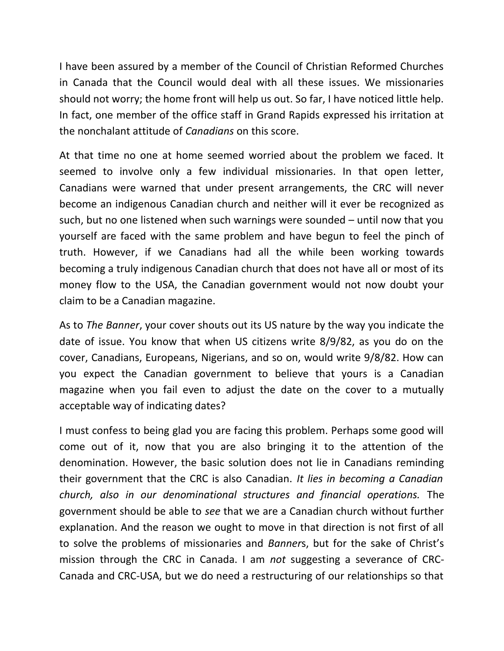I have been assured by a member of the Council of Christian Reformed Churches in Canada that the Council would deal with all these issues. We missionaries should not worry; the home front will help us out. So far, I have noticed little help. In fact, one member of the office staff in Grand Rapids expressed his irritation at the nonchalant attitude of *Canadians* on this score.

At that time no one at home seemed worried about the problem we faced. It seemed to involve only a few individual missionaries. In that open letter, Canadians were warned that under present arrangements, the CRC will never become an indigenous Canadian church and neither will it ever be recognized as such, but no one listened when such warnings were sounded – until now that you yourself are faced with the same problem and have begun to feel the pinch of truth. However, if we Canadians had all the while been working towards becoming a truly indigenous Canadian church that does not have all or most of its money flow to the USA, the Canadian government would not now doubt your claim to be a Canadian magazine.

As to *The Banner*, your cover shouts out its US nature by the way you indicate the date of issue. You know that when US citizens write 8/9/82, as you do on the cover, Canadians, Europeans, Nigerians, and so on, would write 9/8/82. How can you expect the Canadian government to believe that yours is a Canadian magazine when you fail even to adjust the date on the cover to a mutually acceptable way of indicating dates?

I must confess to being glad you are facing this problem. Perhaps some good will come out of it, now that you are also bringing it to the attention of the denomination. However, the basic solution does not lie in Canadians reminding their government that the CRC is also Canadian. *It lies in becoming a Canadian church, also in our denominational structures and financial operations.* The government should be able to *see* that we are a Canadian church without further explanation. And the reason we ought to move in that direction is not first of all to solve the problems of missionaries and *Banner*s, but for the sake of Christ's mission through the CRC in Canada. I am *not* suggesting a severance of CRC-Canada and CRC-USA, but we do need a restructuring of our relationships so that